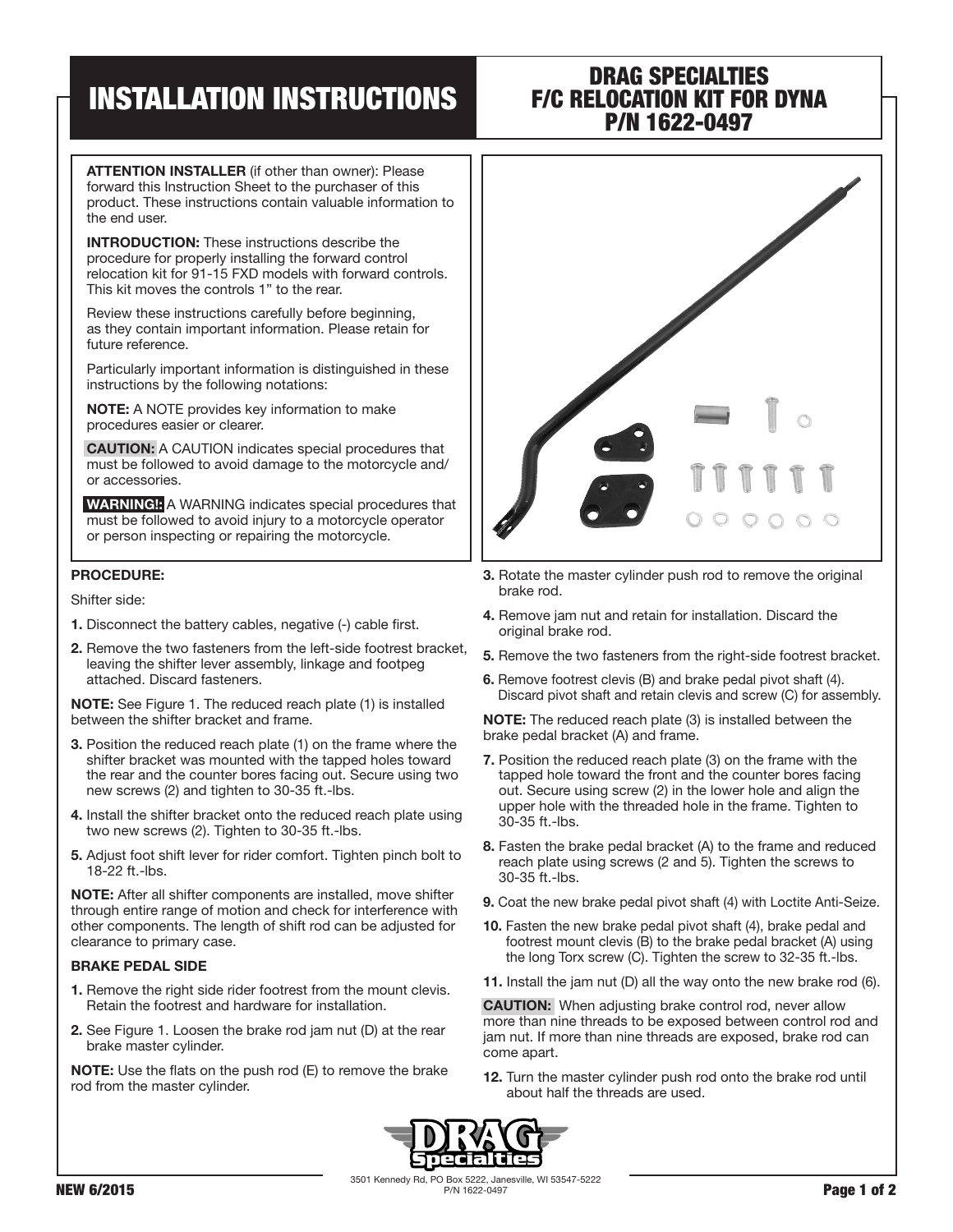# INSTALLATION INSTRUCTIONS

### DRAG SPECIALTIES F/C RELOCATION KIT FOR DYNA P/N 1622-0497

ATTENTION INSTALLER (if other than owner): Please forward this Instruction Sheet to the purchaser of this product. These instructions contain valuable information to the end user.

INTRODUCTION: These instructions describe the procedure for properly installing the forward control relocation kit for 91-15 FXD models with forward controls. This kit moves the controls 1" to the rear.

Review these instructions carefully before beginning, as they contain important information. Please retain for future reference.

Particularly important information is distinguished in these instructions by the following notations:

NOTE: A NOTE provides key information to make procedures easier or clearer.

CAUTION: A CAUTION indicates special procedures that must be followed to avoid damage to the motorcycle and/ or accessories.

WARNING!: A WARNING indicates special procedures that must be followed to avoid injury to a motorcycle operator or person inspecting or repairing the motorcycle.

#### PROCEDURE:

Shifter side:

- 1. Disconnect the battery cables, negative (-) cable first.
- 2. Remove the two fasteners from the left-side footrest bracket, leaving the shifter lever assembly, linkage and footpeg attached. Discard fasteners.

NOTE: See Figure 1. The reduced reach plate (1) is installed between the shifter bracket and frame.

- 3. Position the reduced reach plate (1) on the frame where the shifter bracket was mounted with the tapped holes toward the rear and the counter bores facing out. Secure using two new screws (2) and tighten to 30-35 ft.-lbs.
- 4. Install the shifter bracket onto the reduced reach plate using two new screws (2). Tighten to 30-35 ft.-lbs.
- 5. Adjust foot shift lever for rider comfort. Tighten pinch bolt to 18-22 ft.-lbs.

NOTE: After all shifter components are installed, move shifter through entire range of motion and check for interference with other components. The length of shift rod can be adjusted for clearance to primary case.

#### BRAKE PEDAL SIDE

- 1. Remove the right side rider footrest from the mount clevis. Retain the footrest and hardware for installation.
- 2. See Figure 1. Loosen the brake rod jam nut (D) at the rear brake master cylinder.

NOTE: Use the flats on the push rod (E) to remove the brake rod from the master cylinder.



- 3. Rotate the master cylinder push rod to remove the original brake rod.
- 4. Remove jam nut and retain for installation. Discard the original brake rod.
- 5. Remove the two fasteners from the right-side footrest bracket.
- 6. Remove footrest clevis (B) and brake pedal pivot shaft (4). Discard pivot shaft and retain clevis and screw (C) for assembly.

NOTE: The reduced reach plate (3) is installed between the brake pedal bracket (A) and frame.

- 7. Position the reduced reach plate (3) on the frame with the tapped hole toward the front and the counter bores facing out. Secure using screw (2) in the lower hole and align the upper hole with the threaded hole in the frame. Tighten to 30-35 ft.-lbs.
- 8. Fasten the brake pedal bracket (A) to the frame and reduced reach plate using screws (2 and 5). Tighten the screws to 30-35 ft.-lbs.
- 9. Coat the new brake pedal pivot shaft (4) with Loctite Anti-Seize.
- 10. Fasten the new brake pedal pivot shaft (4), brake pedal and footrest mount clevis (B) to the brake pedal bracket (A) using the long Torx screw (C). Tighten the screw to 32-35 ft.-lbs.
- 11. Install the jam nut (D) all the way onto the new brake rod (6).

CAUTION: When adjusting brake control rod, never allow more than nine threads to be exposed between control rod and jam nut. If more than nine threads are exposed, brake rod can come apart.

12. Turn the master cylinder push rod onto the brake rod until about half the threads are used.



3501 Kennedy Rd, PO Box 5222, Janesville, WI 53547-5222 NEW 6/2015 **PAGE 1 of 2**  $P/N$  1622-0497 **Page 1 of 2**